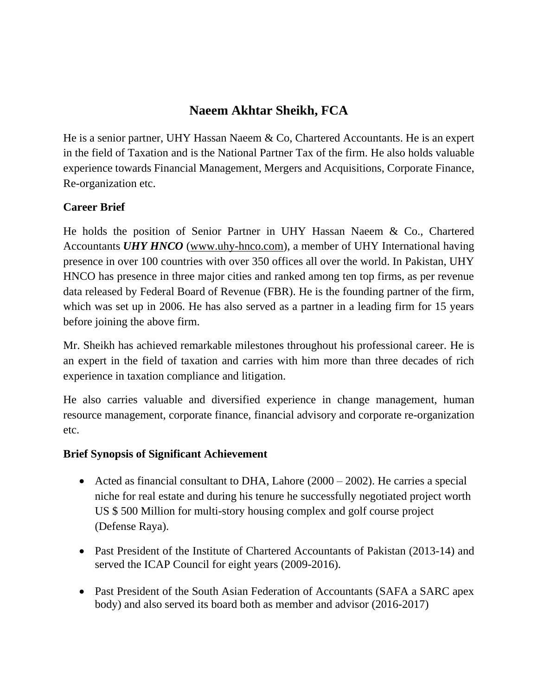# **Naeem Akhtar Sheikh, FCA**

He is a senior partner, UHY Hassan Naeem & Co, Chartered Accountants. He is an expert in the field of Taxation and is the National Partner Tax of the firm. He also holds valuable experience towards Financial Management, Mergers and Acquisitions, Corporate Finance, Re-organization etc.

# **Career Brief**

He holds the position of Senior Partner in UHY Hassan Naeem & Co., Chartered Accountants *UHY HNCO* [\(www.uhy-hnco.com\)](http://www.uhy-hnco.com/), a member of UHY International having presence in over 100 countries with over 350 offices all over the world. In Pakistan, UHY HNCO has presence in three major cities and ranked among ten top firms, as per revenue data released by Federal Board of Revenue (FBR). He is the founding partner of the firm, which was set up in 2006. He has also served as a partner in a leading firm for 15 years before joining the above firm.

Mr. Sheikh has achieved remarkable milestones throughout his professional career. He is an expert in the field of taxation and carries with him more than three decades of rich experience in taxation compliance and litigation.

He also carries valuable and diversified experience in change management, human resource management, corporate finance, financial advisory and corporate re-organization etc.

### **Brief Synopsis of Significant Achievement**

- Acted as financial consultant to DHA, Lahore (2000 2002). He carries a special niche for real estate and during his tenure he successfully negotiated project worth US \$ 500 Million for multi-story housing complex and golf course project (Defense Raya).
- Past President of the Institute of Chartered Accountants of Pakistan (2013-14) and served the ICAP Council for eight years (2009-2016).
- Past President of the South Asian Federation of Accountants (SAFA a SARC apex body) and also served its board both as member and advisor (2016-2017)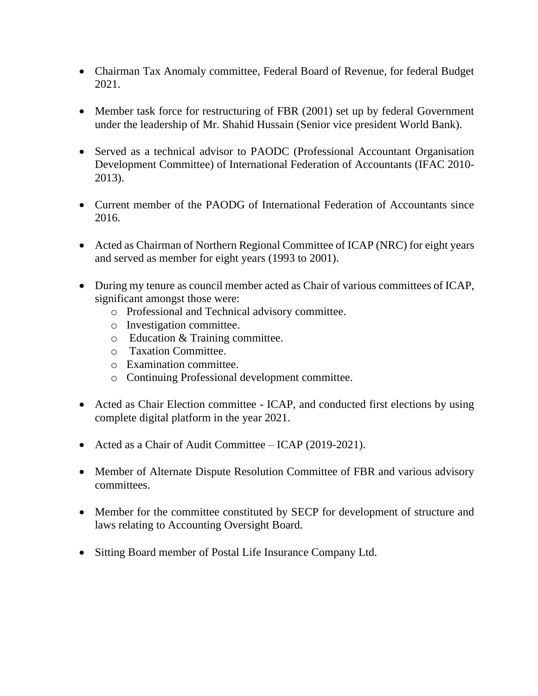- Chairman Tax Anomaly committee, Federal Board of Revenue, for federal Budget 2021.
- Member task force for restructuring of FBR (2001) set up by federal Government under the leadership of Mr. Shahid Hussain (Senior vice president World Bank).
- Served as a technical advisor to PAODC (Professional Accountant Organisation Development Committee) of International Federation of Accountants (IFAC 2010- 2013).
- Current member of the PAODG of International Federation of Accountants since 2016.
- Acted as Chairman of Northern Regional Committee of ICAP (NRC) for eight years and served as member for eight years (1993 to 2001).
- During my tenure as council member acted as Chair of various committees of ICAP, significant amongst those were:
	- o Professional and Technical advisory committee.
	- o Investigation committee.
	- o Education & Training committee.
	- o Taxation Committee.
	- o Examination committee.
	- o Continuing Professional development committee.
- Acted as Chair Election committee ICAP, and conducted first elections by using complete digital platform in the year 2021.
- Acted as a Chair of Audit Committee ICAP (2019-2021).
- Member of Alternate Dispute Resolution Committee of FBR and various advisory committees.
- Member for the committee constituted by SECP for development of structure and laws relating to Accounting Oversight Board.
- Sitting Board member of Postal Life Insurance Company Ltd.